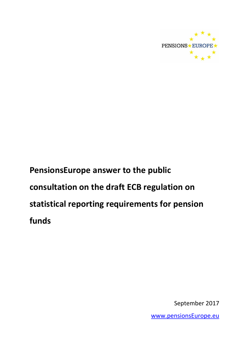

# **PensionsEurope answer to the public consultation on the draft ECB regulation on statistical reporting requirements for pension funds**

September 2017

[www.pensionsEurope.eu](http://www.pensionseurope.eu/)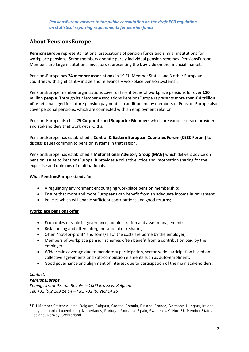# **About PensionsEurope**

**PensionsEurope** represents national associations of pension funds and similar institutions for workplace pensions. Some members operate purely individual pension schemes. PensionsEurope Members are large institutional investors representing the **buy-side** on the financial markets.

PensionsEurope has **24 member associations** in 19 EU Member States and 3 other European countries with significant – in size and relevance – workplace pension systems<sup>1</sup>.

PensionsEurope member organisations cover different types of workplace pensions for over **110 million people.** Through its Member Associations PensionsEurope represents more than **€ 4 trillion of assets** managed for future pension payments. In addition, many members of PensionsEurope also cover personal pensions, which are connected with an employment relation.

PensionsEurope also has **25 Corporate and Supporter Members** which are various service providers and stakeholders that work with IORPs.

PensionsEurope has established a **Central & Eastern European Countries Forum (CEEC Forum)** to discuss issues common to pension systems in that region.

PensionsEurope has established a **Multinational Advisory Group (MAG)** which delivers advice on pension issues to PensionsEurope. It provides a collective voice and information sharing for the expertise and opinions of multinationals.

#### **What PensionsEurope stands for**

- A regulatory environment encouraging workplace pension membership;
- Ensure that more and more Europeans can benefit from an adequate income in retirement;
- Policies which will enable sufficient contributions and good returns;

#### **Workplace pensions offer**

- Economies of scale in governance, administration and asset management;
- Risk pooling and often intergenerational risk-sharing;
- Often "not-for-profit" and some/all of the costs are borne by the employer;
- Members of workplace pension schemes often benefit from a contribution paid by the employer;
- Wide-scale coverage due to mandatory participation, sector-wide participation based on collective agreements and soft-compulsion elements such as auto-enrolment;
- Good governance and alignment of interest due to participation of the main stakeholders.

## *Contact:*

**.** 

#### *PensionsEurope*

*Koningsstraat 97, rue Royale – 1000 Brussels, Belgium Tel: +32 (0)2 289 14 14 – Fax: +32 (0) 289 14 15*

<sup>1</sup> EU Member States: Austria, Belgium, Bulgaria, Croatia, Estonia, Finland, France, Germany, Hungary, Ireland, Italy, Lithuania, Luxembourg, Netherlands, Portugal, Romania, Spain, Sweden, UK. Non-EU Member States: Iceland, Norway, Switzerland.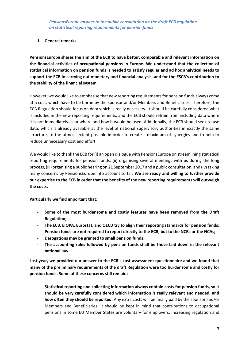## **1. General remarks**

**PensionsEurope shares the aim of the ECB to have better, comparable and relevant information on the financial activities of occupational pensions in Europe. We understand that the collection of statistical information on pension funds is needed to satisfy regular and ad hoc analytical needs to support the ECB in carrying out monetary and financial analysis, and for the ESCB's contribution to the stability of the financial system.**

However, we would like to emphasise that new reporting requirements for pension funds always come at a cost, which have to be borne by the sponsor and/or Members and Beneficiaries. Therefore, the ECB Regulation should focus on data which is really necessary. It should be carefully considered what is included in the new reporting requirements, and the ECB should refrain from including data where it is not immediately clear where and how it would be used. Additionally, the ECB should seek to use data, which is already available at the level of national supervisory authorities in exactly the same structure, to the utmost extent possible in order to create a maximum of synergies and to help to reduce unnecessary cost and effort.

We would like to thank the ECB for (i) an open dialogue with PensionsEurope on streamlining statistical reporting requirements for pension funds, (ii) organising several meetings with us during the long process, (iii) organising a public hearing on 21 September 2017 and a public consultation, and (iv) taking many concerns by PensionsEurope into account so far. **We are ready and willing to further provide our expertise to the ECB in order that the benefits of the new reporting requirements will outweigh the costs.**

**Particularly we find important that:**

- **Some of the most burdensome and costly features have been removed from the Draft Regulation;**
- **The ECB, EIOPA, Eurostat, and OECD try to align their reporting standards for pension funds;**
- Pension funds are not required to report directly to the ECB, but to the NCBs or the NCAs;
- **Derogations may be granted to small pension funds;**
- **The accounting rules followed by pension funds shall be those laid down in the relevant national law.**

**Last year, we provided our answer to the ECB's cost-assessment questionnaire and we found that many of the preliminary requirements of the draft Regulation were too burdensome and costly for pension funds. Some of these concerns still remain:**

- **Statistical reporting and collecting information always contain costs for pension funds, so it should be very carefully considered which information is really relevant and needed, and how often they should be reported.** Any extra costs will be finally paid by the sponsor and/or Members and Beneficiaries. It should be kept in mind that contributions to occupational pensions in some EU Member States are voluntary for employers. Increasing regulation and